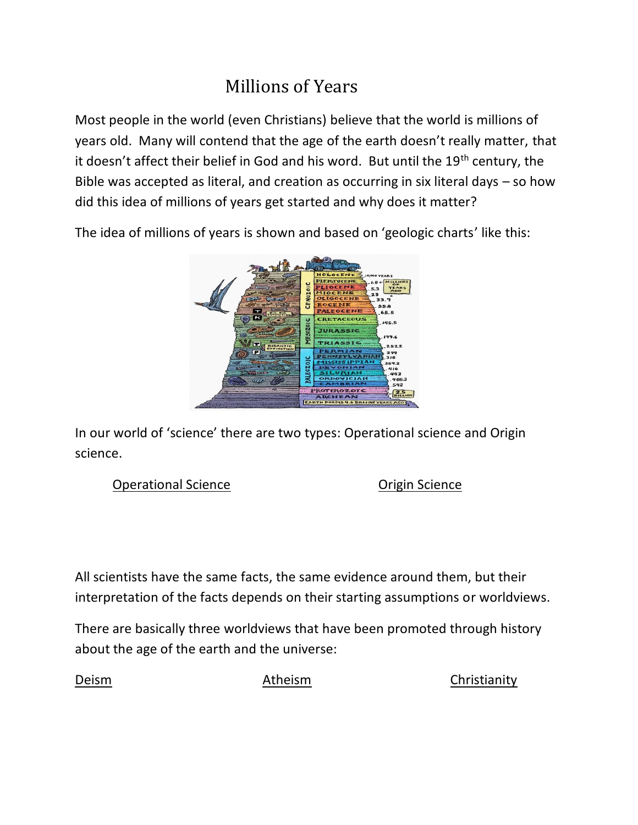# Millions of Years

Most people in the world (even Christians) believe that the world is millions of years old. Many will contend that the age of the earth doesn't really matter, that it doesn't affect their belief in God and his word. But until the 19<sup>th</sup> century, the Bible was accepted as literal, and creation as occurring in six literal days – so how did this idea of millions of years get started and why does it matter?

The idea of millions of years is shown and based on 'geologic charts' like this:



In our world of 'science' there are two types: Operational science and Origin science.

Operational Science **Origin** Science

All scientists have the same facts, the same evidence around them, but their interpretation of the facts depends on their starting assumptions or worldviews.

There are basically three worldviews that have been promoted through history about the age of the earth and the universe:

Deism Atheism Christianity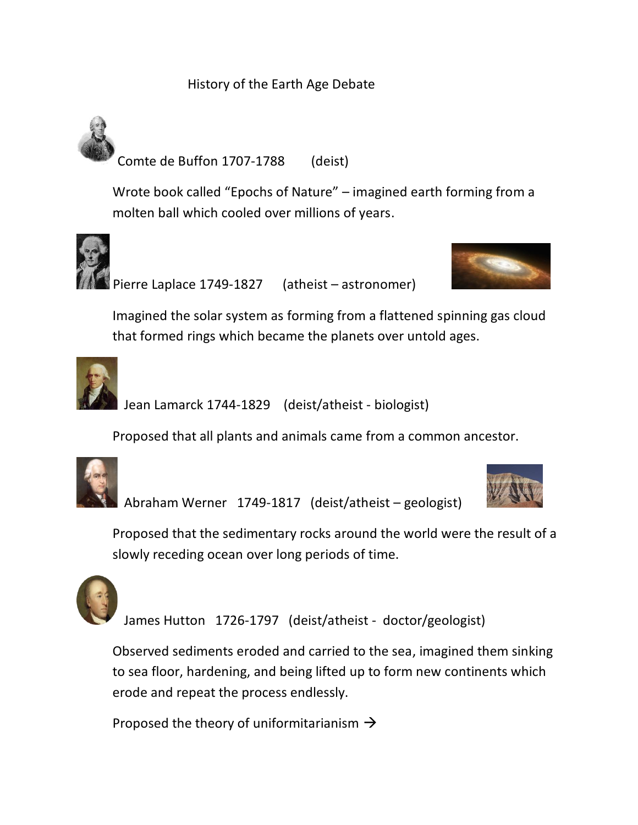## History of the Earth Age Debate



Wrote book called "Epochs of Nature" – imagined earth forming from a molten ball which cooled over millions of years.





Imagined the solar system as forming from a flattened spinning gas cloud that formed rings which became the planets over untold ages.



Jean Lamarck 1744-1829 (deist/atheist - biologist)

Proposed that all plants and animals came from a common ancestor.



Abraham Werner 1749-1817 (deist/atheist – geologist)



Proposed that the sedimentary rocks around the world were the result of a slowly receding ocean over long periods of time.



James Hutton 1726-1797 (deist/atheist - doctor/geologist)

Observed sediments eroded and carried to the sea, imagined them sinking to sea floor, hardening, and being lifted up to form new continents which erode and repeat the process endlessly.

Proposed the theory of uniformitarianism  $\rightarrow$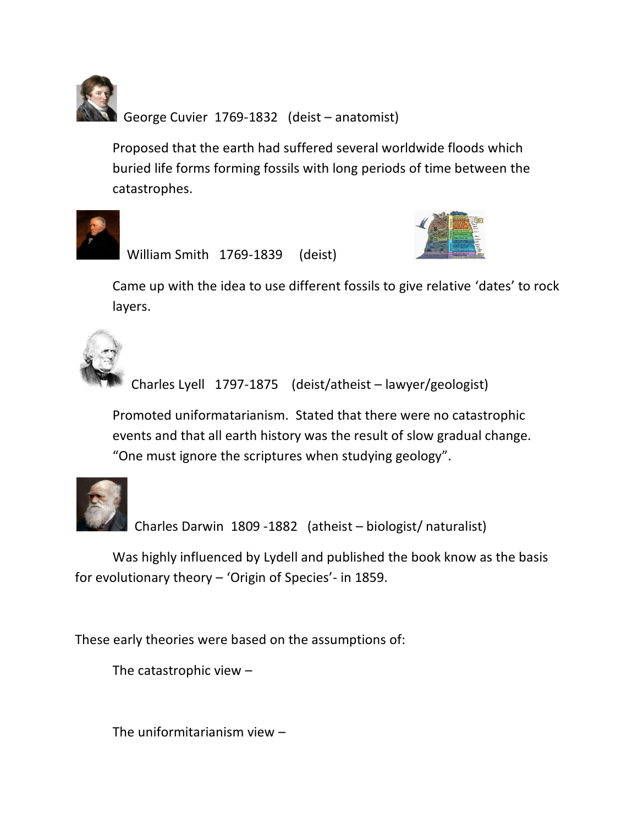George Cuvier 1769-1832 (deist – anatomist)

Proposed that the earth had suffered several worldwide floods which buried life forms forming fossils with long periods of time between the catastrophes.



William Smith 1769-1839 (deist)



Came up with the idea to use different fossils to give relative 'dates' to rock layers.



Charles Lyell 1797-1875 (deist/atheist – lawyer/geologist)

Promoted uniformatarianism. Stated that there were no catastrophic events and that all earth history was the result of slow gradual change. "One must ignore the scriptures when studying geology".



Charles Darwin 1809 -1882 (atheist – biologist/ naturalist)

Was highly influenced by Lydell and published the book know as the basis for evolutionary theory – 'Origin of Species'- in 1859.

These early theories were based on the assumptions of:

The catastrophic view –

The uniformitarianism view –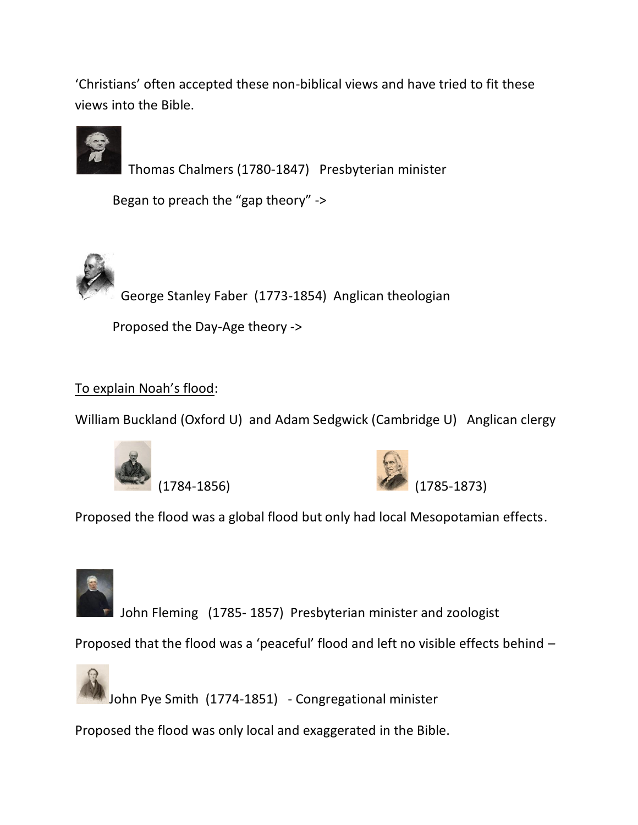'Christians' often accepted these non-biblical views and have tried to fit these views into the Bible.



Thomas Chalmers (1780-1847) Presbyterian minister

Began to preach the "gap theory" ->



Proposed the Day-Age theory ->

## To explain Noah's flood:

William Buckland (Oxford U) and Adam Sedgwick (Cambridge U) Anglican clergy





Proposed the flood was a global flood but only had local Mesopotamian effects.



John Fleming (1785- 1857) Presbyterian minister and zoologist

Proposed that the flood was a 'peaceful' flood and left no visible effects behind –



John Pye Smith (1774-1851) - Congregational minister

Proposed the flood was only local and exaggerated in the Bible.